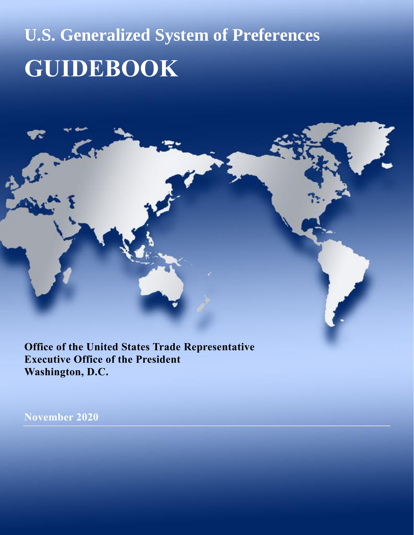# **U.S. Generalized System of Preferences GUIDEBOOK**

**Office of the United States Trade Representative Executive Office of the President Washington, D.C.**

**November 2020**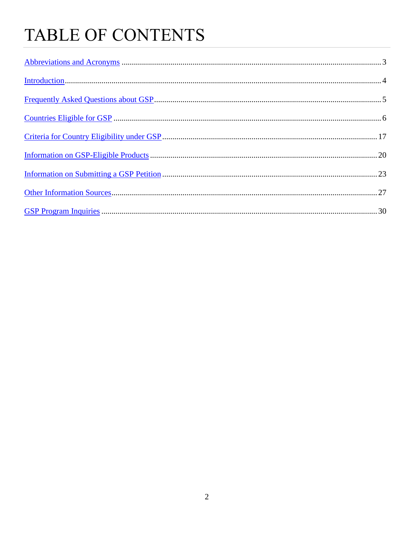## TABLE OF CONTENTS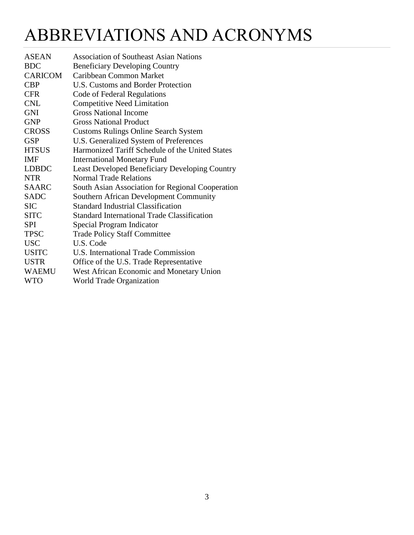### <span id="page-2-0"></span>ABBREVIATIONS AND ACRONYMS

| <b>ASEAN</b>   | <b>Association of Southeast Asian Nations</b>         |
|----------------|-------------------------------------------------------|
| <b>BDC</b>     | <b>Beneficiary Developing Country</b>                 |
| <b>CARICOM</b> | Caribbean Common Market                               |
| <b>CBP</b>     | <b>U.S. Customs and Border Protection</b>             |
| <b>CFR</b>     | Code of Federal Regulations                           |
| <b>CNL</b>     | <b>Competitive Need Limitation</b>                    |
| <b>GNI</b>     | <b>Gross National Income</b>                          |
| <b>GNP</b>     | <b>Gross National Product</b>                         |
| <b>CROSS</b>   | <b>Customs Rulings Online Search System</b>           |
| <b>GSP</b>     | U.S. Generalized System of Preferences                |
| <b>HTSUS</b>   | Harmonized Tariff Schedule of the United States       |
| <b>IMF</b>     | <b>International Monetary Fund</b>                    |
| <b>LDBDC</b>   | <b>Least Developed Beneficiary Developing Country</b> |
| <b>NTR</b>     | <b>Normal Trade Relations</b>                         |
| <b>SAARC</b>   | South Asian Association for Regional Cooperation      |
| <b>SADC</b>    | <b>Southern African Development Community</b>         |
| <b>SIC</b>     | <b>Standard Industrial Classification</b>             |
| <b>SITC</b>    | <b>Standard International Trade Classification</b>    |
| <b>SPI</b>     | Special Program Indicator                             |
| <b>TPSC</b>    | <b>Trade Policy Staff Committee</b>                   |
| <b>USC</b>     | U.S. Code                                             |
| <b>USITC</b>   | U.S. International Trade Commission                   |
| <b>USTR</b>    | Office of the U.S. Trade Representative               |
| <b>WAEMU</b>   | West African Economic and Monetary Union              |
| <b>WTO</b>     | World Trade Organization                              |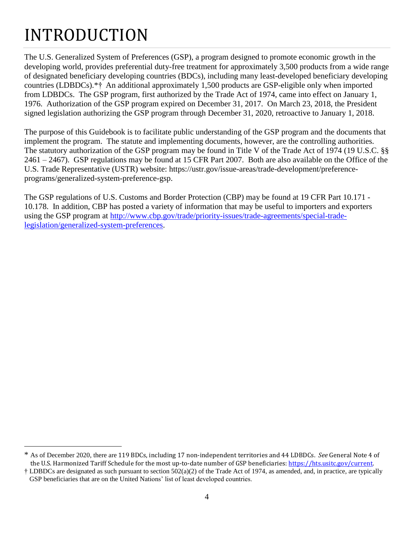### INTRODUCTION

 $\overline{a}$ 

The U.S. Generalized System of Preferences (GSP), a program designed to promote economic growth in the developing world, provides preferential duty-free treatment for approximately 3,500 products from a wide range of designated beneficiary developing countries (BDCs), including many least-developed beneficiary developing countries (LDBDCs).\*† An additional approximately 1,500 products are GSP-eligible only when imported from LDBDCs. The GSP program, first authorized by the Trade Act of 1974, came into effect on January 1, 1976. Authorization of the GSP program expired on December 31, 2017. On March 23, 2018, the President signed legislation authorizing the GSP program through December 31, 2020, retroactive to January 1, 2018.

The purpose of this Guidebook is to facilitate public understanding of the GSP program and the documents that implement the program. The statute and implementing documents, however, are the controlling authorities. The statutory authorization of the GSP program may be found in Title V of the Trade Act of 1974 (19 U.S.C. §§ 2461 – 2467). GSP regulations may be found at 15 CFR Part 2007. Both are also available on the Office of the U.S. Trade Representative (USTR) website: https://ustr.gov/issue-areas/trade-development/preferenceprograms/generalized-system-preference-gsp.

<span id="page-3-0"></span>The GSP regulations of U.S. Customs and Border Protection (CBP) may be found at 19 CFR Part 10.171 - 10.178. In addition, CBP has posted a variety of information that may be useful to importers and exporters using the GSP program at [http://www.cbp.gov/trade/priority-issues/trade-agreements/special-trade](http://www.cbp.gov/trade/priority-issues/trade-agreements/special-trade-legislation/generalized-system-preferences)[legislation/generalized-system-preferences.](http://www.cbp.gov/trade/priority-issues/trade-agreements/special-trade-legislation/generalized-system-preferences)

<sup>\*</sup> As of December 2020, there are 119 BDCs, including 17 non-independent territories and 44 LDBDCs. *See* General Note 4 of the U.S. Harmonized Tariff Schedule for the most up-to-date number of GSP beneficiaries: [https://hts.usitc.gov/current.](https://hts.usitc.gov/current) 

<sup>†</sup> LDBDCs are designated as such pursuant to section 502(a)(2) of the Trade Act of 1974, as amended, and, in practice, are typically GSP beneficiaries that are on the United Nations' list of least developed countries.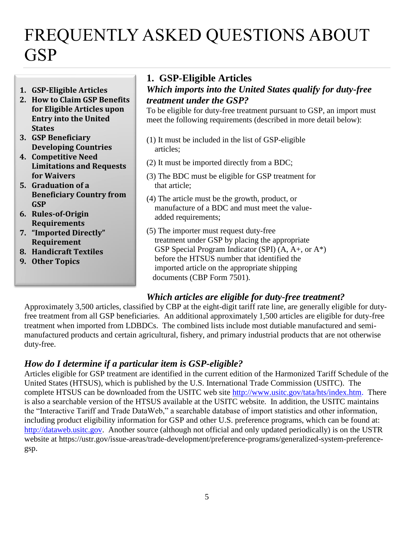### <span id="page-4-0"></span>FREQUENTLY ASKED QUESTIONS ABOUT **GSP**

- **1. GSP-Eligible Articles**
- **2. How to Claim GSP Benefits for Eligible Articles upon Entry into the United States**
- **3. GSP Beneficiary Developing Countries**
- **4. Competitive Need Limitations and Requests for Waivers**
- **5. Graduation of a Beneficiary Country from GSP**
- **6. Rules-of-Origin Requirements**
- **7. "Imported Directly" Requirement**
- **8. Handicraft Textiles**
- **9. Other Topics**

#### **1. GSP-Eligible Articles**

#### *Which imports into the United States qualify for duty-free treatment under the GSP?*

To be eligible for duty-free treatment pursuant to GSP, an import must meet the following requirements (described in more detail below):

- (1) It must be included in the list of GSP-eligible articles;
- (2) It must be imported directly from a BDC;
- (3) The BDC must be eligible for GSP treatment for that article;
- (4) The article must be the growth, product, or manufacture of a BDC and must meet the value added requirements;
- (5) The importer must request duty-free treatment under GSP by placing the appropriate GSP Special Program Indicator (SPI) (A, A+, or A\*) before the HTSUS number that identified the imported article on the appropriate shipping documents (CBP Form 7501).

#### *Which articles are eligible for duty-free treatment?*

Approximately 3,500 articles, classified by CBP at the eight-digit tariff rate line, are generally eligible for dutyfree treatment from all GSP beneficiaries. An additional approximately 1,500 articles are eligible for duty-free treatment when imported from LDBDCs. The combined lists include most dutiable manufactured and semimanufactured products and certain agricultural, fishery, and primary industrial products that are not otherwise duty-free.

#### *How do I determine if a particular item is GSP-eligible?*

Articles eligible for GSP treatment are identified in the current edition of the Harmonized Tariff Schedule of the United States (HTSUS), which is published by the U.S. International Trade Commission (USITC). The complete HTSUS can be downloaded from the USITC web site [http://www.usitc.gov/tata/hts/index.htm.](http://www.usitc.gov/tata/hts/index.htm) There is also a searchable version of the HTSUS available at the USITC website. In addition, the USITC maintains the "Interactive Tariff and Trade DataWeb," a searchable database of import statistics and other information, including product eligibility information for GSP and other U.S. preference programs, which can be found at: [http://dataweb.usitc.gov.](http://dataweb.usitc.gov/) Another source (although not official and only updated periodically) is on the USTR website at https://ustr.gov/issue-areas/trade-development/preference-programs/generalized-system-preferencegsp.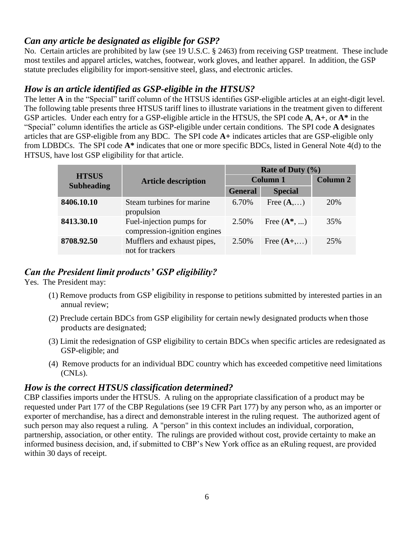#### *Can any article be designated as eligible for GSP?*

No. Certain articles are prohibited by law (see 19 U.S.C. § 2463) from receiving GSP treatment. These include most textiles and apparel articles, watches, footwear, work gloves, and leather apparel. In addition, the GSP statute precludes eligibility for import-sensitive steel, glass, and electronic articles.

#### *How is an article identified as GSP-eligible in the HTSUS?*

The letter **A** in the "Special" tariff column of the HTSUS identifies GSP-eligible articles at an eight-digit level. The following table presents three HTSUS tariff lines to illustrate variations in the treatment given to different GSP articles. Under each entry for a GSP-eligible article in the HTSUS, the SPI code **A**, **A+**, or **A\*** in the "Special" column identifies the article as GSP-eligible under certain conditions. The SPI code **A** designates articles that are GSP-eligible from any BDC. The SPI code **A+** indicates articles that are GSP-eligible only from LDBDCs. The SPI code **A\*** indicates that one or more specific BDCs, listed in General Note 4(d) to the HTSUS, have lost GSP eligibility for that article.

|                                   |                                                          |                 | Rate of Duty $(\%$ |                 |
|-----------------------------------|----------------------------------------------------------|-----------------|--------------------|-----------------|
| <b>HTSUS</b><br><b>Subheading</b> | <b>Article description</b>                               | <b>Column 1</b> |                    | <b>Column 2</b> |
|                                   |                                                          | <b>General</b>  | <b>Special</b>     |                 |
| 8406.10.10                        | Steam turbines for marine<br>propulsion                  | 6.70%           | Free $(A,)$        | 20%             |
| 8413.30.10                        | Fuel-injection pumps for<br>compression-ignition engines | 2.50%           | Free $(A^*, )$     | 35%             |
| 8708.92.50                        | Mufflers and exhaust pipes,<br>not for trackers          | 2.50%           | Free $(A+, \dots)$ | 25%             |

#### *Can the President limit products' GSP eligibility?*

Yes. The President may:

- (1) Remove products from GSP eligibility in response to petitions submitted by interested parties in an annual review;
- (2) Preclude certain BDCs from GSP eligibility for certain newly designated products when those products are designated;
- (3) Limit the redesignation of GSP eligibility to certain BDCs when specific articles are redesignated as GSP-eligible; and
- (4) Remove products for an individual BDC country which has exceeded competitive need limitations (CNLs).

#### *How is the correct HTSUS classification determined?*

CBP classifies imports under the HTSUS. A ruling on the appropriate classification of a product may be requested under Part 177 of the CBP Regulations (see 19 CFR Part 177) by any person who, as an importer or exporter of merchandise, has a direct and demonstrable interest in the ruling request. The authorized agent of such person may also request a ruling. A "person" in this context includes an individual, corporation, partnership, association, or other entity. The rulings are provided without cost, provide certainty to make an informed business decision, and, if submitted to CBP's New York office as an eRuling request, are provided within 30 days of receipt.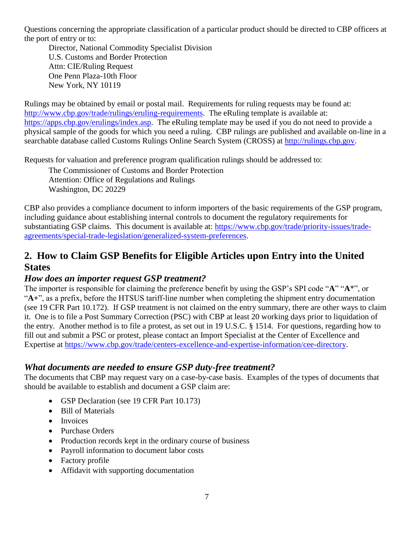Questions concerning the appropriate classification of a particular product should be directed to CBP officers at the port of entry or to:

Director, National Commodity Specialist Division U.S. Customs and Border Protection Attn: CIE/Ruling Request One Penn Plaza-10th Floor New York, NY 10119

Rulings may be obtained by email or postal mail. Requirements for ruling requests may be found at: [http://www.cbp.gov/trade/rulings/eruling-requirements.](http://www.cbp.gov/trade/rulings/eruling-requirements) The eRuling template is available at: [https://apps.cbp.gov/erulings/index.asp.](https://apps.cbp.gov/erulings/index.asp) The eRuling template may be used if you do not need to provide a physical sample of the goods for which you need a ruling. CBP rulings are published and available on-line in a searchable database called Customs Rulings Online Search System (CROSS) at [http://rulings.cbp.gov.](http://rulings.cbp.gov/)

Requests for valuation and preference program qualification rulings should be addressed to:

The Commissioner of Customs and Border Protection Attention: Office of Regulations and Rulings Washington, DC 20229

CBP also provides a compliance document to inform importers of the basic requirements of the GSP program, including guidance about establishing internal controls to document the regulatory requirements for substantiating GSP claims. This document is available at: [https://www.cbp.gov/trade/priority-issues/trade](https://www.cbp.gov/trade/priority-issues/trade-agreements/special-trade-legislation/generalized-system-preferences)[agreements/special-trade-legislation/generalized-system-preferences.](https://www.cbp.gov/trade/priority-issues/trade-agreements/special-trade-legislation/generalized-system-preferences)

#### **2. How to Claim GSP Benefits for Eligible Articles upon Entry into the United States**

#### *How does an importer request GSP treatment?*

The importer is responsible for claiming the preference benefit by using the GSP's SPI code "**A**" "**A**\*", or "**A+**", as a prefix, before the HTSUS tariff-line number when completing the shipment entry documentation (see 19 CFR Part 10.172). If GSP treatment is not claimed on the entry summary, there are other ways to claim it. One is to file a Post Summary Correction (PSC) with CBP at least 20 working days prior to liquidation of the entry. Another method is to file a protest, as set out in 19 U.S.C. § 1514. For questions, regarding how to fill out and submit a PSC or protest, please contact an Import Specialist at the Center of Excellence and Expertise at [https://www.cbp.gov/trade/centers-excellence-and-expertise-information/cee-directory.](https://www.cbp.gov/trade/centers-excellence-and-expertise-information/cee-directory)

#### *What documents are needed to ensure GSP duty-free treatment?*

The documents that CBP may request vary on a case-by-case basis. Examples of the types of documents that should be available to establish and document a GSP claim are:

- GSP Declaration (see 19 CFR Part 10.173)
- Bill of Materials
- Invoices
- Purchase Orders
- Production records kept in the ordinary course of business
- Payroll information to document labor costs
- Factory profile
- Affidavit with supporting documentation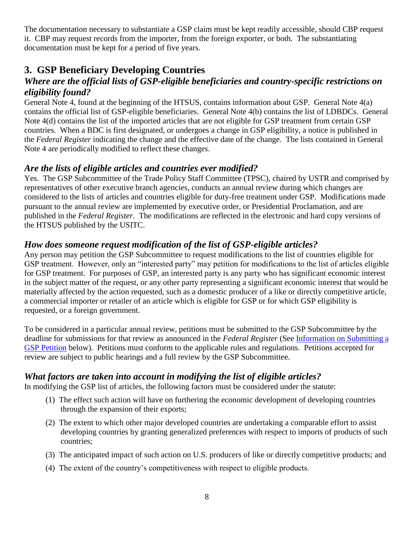The documentation necessary to substantiate a GSP claim must be kept readily accessible, should CBP request it. CBP may request records from the importer, from the foreign exporter, or both. The substantiating documentation must be kept for a period of five years.

#### **3. GSP Beneficiary Developing Countries**

#### *Where are the official lists of GSP-eligible beneficiaries and country-specific restrictions on eligibility found?*

General Note 4, found at the beginning of the HTSUS, contains information about GSP. General Note 4(a) contains the official list of GSP-eligible beneficiaries. General Note 4(b) contains the list of LDBDCs. General Note 4(d) contains the list of the imported articles that are not eligible for GSP treatment from certain GSP countries. When a BDC is first designated, or undergoes a change in GSP eligibility, a notice is published in the *Federal Register* indicating the change and the effective date of the change. The lists contained in General Note 4 are periodically modified to reflect these changes.

#### *Are the lists of eligible articles and countries ever modified?*

Yes. The GSP Subcommittee of the Trade Policy Staff Committee (TPSC), chaired by USTR and comprised by representatives of other executive branch agencies, conducts an annual review during which changes are considered to the lists of articles and countries eligible for duty-free treatment under GSP. Modifications made pursuant to the annual review are implemented by executive order, or Presidential Proclamation, and are published in the *Federal Register.* The modifications are reflected in the electronic and hard copy versions of the HTSUS published by the USITC.

#### *How does someone request modification of the list of GSP-eligible articles?*

Any person may petition the GSP Subcommittee to request modifications to the list of countries eligible for GSP treatment. However, only an "interested party" may petition for modifications to the list of articles eligible for GSP treatment. For purposes of GSP, an interested party is any party who has significant economic interest in the subject matter of the request, or any other party representing a significant economic interest that would be materially affected by the action requested, such as a domestic producer of a like or directly competitive article, a commercial importer or retailer of an article which is eligible for GSP or for which GSP eligibility is requested, or a foreign government.

To be considered in a particular annual review, petitions must be submitted to the GSP Subcommittee by the deadline for submissions for that review as announced in the *Federal Register* (See [Information on Submitting a](#page-22-0)  [GSP Petition](#page-22-0) below). Petitions must conform to the applicable rules and regulations. Petitions accepted for review are subject to public hearings and a full review by the GSP Subcommittee.

#### *What factors are taken into account in modifying the list of eligible articles?*

In modifying the GSP list of articles, the following factors must be considered under the statute:

- (1) The effect such action will have on furthering the economic development of developing countries through the expansion of their exports;
- (2) The extent to which other major developed countries are undertaking a comparable effort to assist developing countries by granting generalized preferences with respect to imports of products of such countries;
- (3) The anticipated impact of such action on U.S. producers of like or directly competitive products; and
- (4) The extent of the country's competitiveness with respect to eligible products.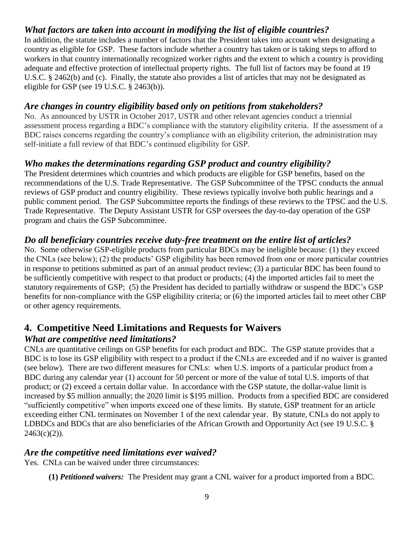#### *What factors are taken into account in modifying the list of eligible countries?*

In addition, the statute includes a number of factors that the President takes into account when designating a country as eligible for GSP. These factors include whether a country has taken or is taking steps to afford to workers in that country internationally recognized worker rights and the extent to which a country is providing adequate and effective protection of intellectual property rights. The full list of factors may be found at 19 U.S.C. § 2462(b) and (c). Finally, the statute also provides a list of articles that may not be designated as eligible for GSP (see 19 U.S.C. § 2463(b)).

#### *Are changes in country eligibility based only on petitions from stakeholders?*

No. As announced by USTR in October 2017, USTR and other relevant agencies conduct a triennial assessment process regarding a BDC's compliance with the statutory eligibility criteria. If the assessment of a BDC raises concerns regarding the country's compliance with an eligibility criterion, the administration may self-initiate a full review of that BDC's continued eligibility for GSP.

#### *Who makes the determinations regarding GSP product and country eligibility?*

The President determines which countries and which products are eligible for GSP benefits, based on the recommendations of the U.S. Trade Representative. The GSP Subcommittee of the TPSC conducts the annual reviews of GSP product and country eligibility. These reviews typically involve both public hearings and a public comment period. The GSP Subcommittee reports the findings of these reviews to the TPSC and the U.S. Trade Representative. The Deputy Assistant USTR for GSP oversees the day-to-day operation of the GSP program and chairs the GSP Subcommittee.

#### *Do all beneficiary countries receive duty-free treatment on the entire list of articles?*

No. Some otherwise GSP-eligible products from particular BDCs may be ineligible because: (1) they exceed the CNLs (see below); (2) the products' GSP eligibility has been removed from one or more particular countries in response to petitions submitted as part of an annual product review; (3) a particular BDC has been found to be sufficiently competitive with respect to that product or products; (4) the imported articles fail to meet the statutory requirements of GSP; (5) the President has decided to partially withdraw or suspend the BDC's GSP benefits for non-compliance with the GSP eligibility criteria; or (6) the imported articles fail to meet other CBP or other agency requirements.

### **4. Competitive Need Limitations and Requests for Waivers**

#### *What are competitive need limitations?*

CNLs are quantitative ceilings on GSP benefits for each product and BDC. The GSP statute provides that a BDC is to lose its GSP eligibility with respect to a product if the CNLs are exceeded and if no waiver is granted (see below). There are two different measures for CNLs: when U.S. imports of a particular product from a BDC during any calendar year (1) account for 50 percent or more of the value of total U.S. imports of that product; or (2) exceed a certain dollar value. In accordance with the GSP statute, the dollar-value limit is increased by \$5 million annually; the 2020 limit is \$195 million. Products from a specified BDC are considered "sufficiently competitive" when imports exceed one of these limits. By statute, GSP treatment for an article exceeding either CNL terminates on November 1 of the next calendar year. By statute, CNLs do not apply to LDBDCs and BDCs that are also beneficiaries of the African Growth and Opportunity Act (see 19 U.S.C. §  $2463(c)(2)$ ).

#### *Are the competitive need limitations ever waived?*

Yes. CNLs can be waived under three circumstances:

**(1)** *Petitioned waivers:*The President may grant a CNL waiver for a product imported from a BDC.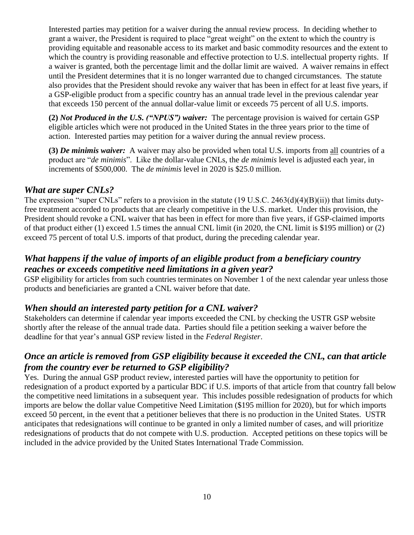Interested parties may petition for a waiver during the annual review process. In deciding whether to grant a waiver, the President is required to place "great weight" on the extent to which the country is providing equitable and reasonable access to its market and basic commodity resources and the extent to which the country is providing reasonable and effective protection to U.S. intellectual property rights. If a waiver is granted, both the percentage limit and the dollar limit are waived. A waiver remains in effect until the President determines that it is no longer warranted due to changed circumstances. The statute also provides that the President should revoke any waiver that has been in effect for at least five years, if a GSP-eligible product from a specific country has an annual trade level in the previous calendar year that exceeds 150 percent of the annual dollar-value limit or exceeds 75 percent of all U.S. imports.

**(2)** *Not Produced in the U.S. ("NPUS") waiver:* The percentage provision is waived for certain GSP eligible articles which were not produced in the United States in the three years prior to the time of action. Interested parties may petition for a waiver during the annual review process.

**(3)** *De minimis waiver:*A waiver may also be provided when total U.S. imports from all countries of a product are "*de minimis*". Like the dollar-value CNLs, the *de minimis* level is adjusted each year, in increments of \$500,000. The *de minimis* level in 2020 is \$25.0 million.

#### *What are super CNLs?*

The expression "super CNLs" refers to a provision in the statute (19 U.S.C. 2463(d)(4)(B)(ii)) that limits dutyfree treatment accorded to products that are clearly competitive in the U.S. market. Under this provision, the President should revoke a CNL waiver that has been in effect for more than five years, if GSP-claimed imports of that product either (1) exceed 1.5 times the annual CNL limit (in 2020, the CNL limit is \$195 million) or (2) exceed 75 percent of total U.S. imports of that product, during the preceding calendar year.

#### *What happens if the value of imports of an eligible product from a beneficiary country reaches or exceeds competitive need limitations in a given year?*

GSP eligibility for articles from such countries terminates on November 1 of the next calendar year unless those products and beneficiaries are granted a CNL waiver before that date.

#### *When should an interested party petition for a CNL waiver?*

Stakeholders can determine if calendar year imports exceeded the CNL by checking the USTR GSP website shortly after the release of the annual trade data. Parties should file a petition seeking a waiver before the deadline for that year's annual GSP review listed in the *Federal Register*.

#### *Once an article is removed from GSP eligibility because it exceeded the CNL, can that article from the country ever be returned to GSP eligibility?*

Yes. During the annual GSP product review, interested parties will have the opportunity to petition for redesignation of a product exported by a particular BDC if U.S. imports of that article from that country fall below the competitive need limitations in a subsequent year. This includes possible redesignation of products for which imports are below the dollar value Competitive Need Limitation (\$195 million for 2020), but for which imports exceed 50 percent, in the event that a petitioner believes that there is no production in the United States. USTR anticipates that redesignations will continue to be granted in only a limited number of cases, and will prioritize redesignations of products that do not compete with U.S. production. Accepted petitions on these topics will be included in the advice provided by the United States International Trade Commission.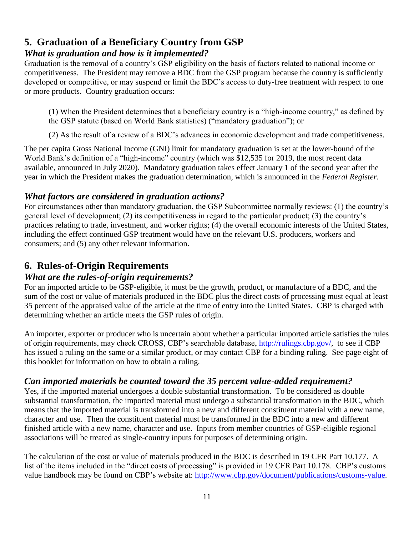#### **5. Graduation of a Beneficiary Country from GSP** *What is graduation and how is it implemented?*

Graduation is the removal of a country's GSP eligibility on the basis of factors related to national income or competitiveness. The President may remove a BDC from the GSP program because the country is sufficiently developed or competitive, or may suspend or limit the BDC's access to duty-free treatment with respect to one or more products. Country graduation occurs:

(1) When the President determines that a beneficiary country is a "high-income country," as defined by the GSP statute (based on World Bank statistics) ("mandatory graduation"); or

(2) As the result of a review of a BDC's advances in economic development and trade competitiveness.

The per capita Gross National Income (GNI) limit for mandatory graduation is set at the lower-bound of the World Bank's definition of a "high-income" country (which was \$12,535 for 2019, the most recent data available, announced in July 2020). Mandatory graduation takes effect January 1 of the second year after the year in which the President makes the graduation determination, which is announced in the *Federal Register*.

#### *What factors are considered in graduation actions?*

For circumstances other than mandatory graduation, the GSP Subcommittee normally reviews: (1) the country's general level of development; (2) its competitiveness in regard to the particular product; (3) the country's practices relating to trade, investment, and worker rights; (4) the overall economic interests of the United States, including the effect continued GSP treatment would have on the relevant U.S. producers, workers and consumers; and (5) any other relevant information.

#### **6. Rules-of-Origin Requirements**

#### *What are the rules-of-origin requirements?*

For an imported article to be GSP-eligible, it must be the growth, product, or manufacture of a BDC, and the sum of the cost or value of materials produced in the BDC plus the direct costs of processing must equal at least 35 percent of the appraised value of the article at the time of entry into the United States. CBP is charged with determining whether an article meets the GSP rules of origin.

An importer, exporter or producer who is uncertain about whether a particular imported article satisfies the rules of origin requirements, may check CROSS, CBP's searchable database, [http://rulings.cbp.gov/,](http://rulings.cbp.gov/) to see if CBP has issued a ruling on the same or a similar product, or may contact CBP for a binding ruling. See page eight of this booklet for information on how to obtain a ruling.

#### *Can imported materials be counted toward the 35 percent value-added requirement?*

Yes, if the imported material undergoes a double substantial transformation. To be considered as double substantial transformation, the imported material must undergo a substantial transformation in the BDC, which means that the imported material is transformed into a new and different constituent material with a new name, character and use. Then the constituent material must be transformed in the BDC into a new and different finished article with a new name, character and use. Inputs from member countries of GSP-eligible regional associations will be treated as single-country inputs for purposes of determining origin.

The calculation of the cost or value of materials produced in the BDC is described in 19 CFR Part 10.177. A list of the items included in the "direct costs of processing" is provided in 19 CFR Part 10.178. CBP's customs value handbook may be found on CBP's website at: [http://www.cbp.gov/document/publications/customs-value.](http://www.cbp.gov/document/publications/customs-value)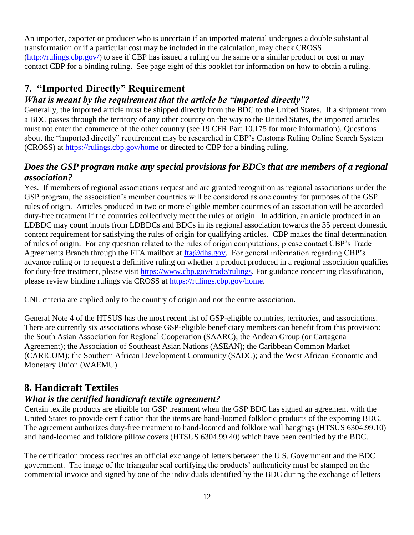An importer, exporter or producer who is uncertain if an imported material undergoes a double substantial transformation or if a particular cost may be included in the calculation, may check CROSS [\(http://rulings.cbp.gov/\)](http://rulings.cbp.gov/) to see if CBP has issued a ruling on the same or a similar product or cost or may contact CBP for a binding ruling. See page eight of this booklet for information on how to obtain a ruling.

#### **7. "Imported Directly" Requirement**

#### *What is meant by the requirement that the article be "imported directly"?*

Generally, the imported article must be shipped directly from the BDC to the United States. If a shipment from a BDC passes through the territory of any other country on the way to the United States, the imported articles must not enter the commerce of the other country (see 19 CFR Part 10.175 for more information). Questions about the "imported directly" requirement may be researched in CBP's Customs Ruling Online Search System (CROSS) at<https://rulings.cbp.gov/home> or directed to CBP for a binding ruling.

#### *Does the GSP program make any special provisions for BDCs that are members of a regional association?*

Yes. If members of regional associations request and are granted recognition as regional associations under the GSP program, the association's member countries will be considered as one country for purposes of the GSP rules of origin. Articles produced in two or more eligible member countries of an association will be accorded duty-free treatment if the countries collectively meet the rules of origin. In addition, an article produced in an LDBDC may count inputs from LDBDCs and BDCs in its regional association towards the 35 percent domestic content requirement for satisfying the rules of origin for qualifying articles. CBP makes the final determination of rules of origin. For any question related to the rules of origin computations, please contact CBP's Trade Agreements Branch through the FTA mailbox at [fta@dhs.gov.](mailto:fta@dhs.gov) For general information regarding CBP's advance ruling or to request a definitive ruling on whether a product produced in a regional association qualifies for duty-free treatment, please visit [https://www.cbp.gov/trade/rulings.](https://www.cbp.gov/trade/rulings) For guidance concerning classification, please review binding rulings via CROSS at [https://rulings.cbp.gov/home.](https://rulings.cbp.gov/home)

CNL criteria are applied only to the country of origin and not the entire association.

General Note 4 of the HTSUS has the most recent list of GSP-eligible countries, territories, and associations. There are currently six associations whose GSP-eligible beneficiary members can benefit from this provision: the South Asian Association for Regional Cooperation (SAARC); the Andean Group (or Cartagena Agreement); the Association of Southeast Asian Nations (ASEAN); the Caribbean Common Market (CARICOM); the Southern African Development Community (SADC); and the West African Economic and Monetary Union (WAEMU).

#### **8. Handicraft Textiles**

#### *What is the certified handicraft textile agreement?*

Certain textile products are eligible for GSP treatment when the GSP BDC has signed an agreement with the United States to provide certification that the items are hand-loomed folkloric products of the exporting BDC. The agreement authorizes duty-free treatment to hand-loomed and folklore wall hangings (HTSUS 6304.99.10) and hand-loomed and folklore pillow covers (HTSUS 6304.99.40) which have been certified by the BDC.

The certification process requires an official exchange of letters between the U.S. Government and the BDC government. The image of the triangular seal certifying the products' authenticity must be stamped on the commercial invoice and signed by one of the individuals identified by the BDC during the exchange of letters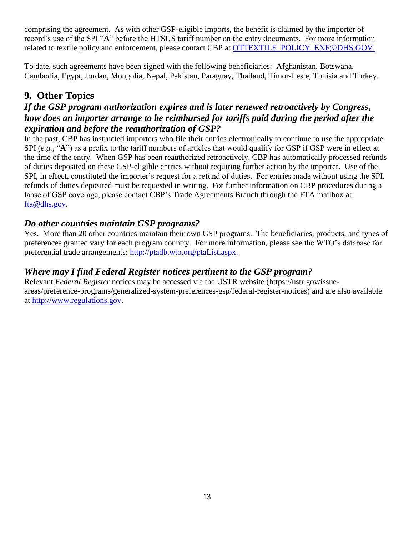comprising the agreement. As with other GSP-eligible imports, the benefit is claimed by the importer of record's use of the SPI "**A**" before the HTSUS tariff number on the entry documents. For more information related to textile policy and enforcement, please contact CBP at [OTTEXTILE\\_POLICY\\_ENF@DHS.GOV.](mailto:OTTEXTILE_POLICY_ENF@DHS.GOV)

To date, such agreements have been signed with the following beneficiaries: Afghanistan, Botswana, Cambodia, Egypt, Jordan, Mongolia, Nepal, Pakistan, Paraguay, Thailand, Timor-Leste, Tunisia and Turkey*.* 

#### **9. Other Topics**

#### *If the GSP program authorization expires and is later renewed retroactively by Congress, how does an importer arrange to be reimbursed for tariffs paid during the period after the expiration and before the reauthorization of GSP?*

In the past, CBP has instructed importers who file their entries electronically to continue to use the appropriate SPI (*e.g.*, "A") as a prefix to the tariff numbers of articles that would qualify for GSP if GSP were in effect at the time of the entry. When GSP has been reauthorized retroactively, CBP has automatically processed refunds of duties deposited on these GSP-eligible entries without requiring further action by the importer. Use of the SPI, in effect, constituted the importer's request for a refund of duties. For entries made without using the SPI, refunds of duties deposited must be requested in writing. For further information on CBP procedures during a lapse of GSP coverage, please contact CBP's Trade Agreements Branch through the FTA mailbox at [fta@dhs.gov.](mailto:fta@dhs.gov)

#### *Do other countries maintain GSP programs?*

Yes. More than 20 other countries maintain their own GSP programs. The beneficiaries, products, and types of preferences granted vary for each program country. For more information, please see the WTO's database for preferential trade arrangements: [http://ptadb.wto.org/ptaList.aspx.](http://ptadb.wto.org/ptaList.aspx)

#### *Where may I find Federal Register notices pertinent to the GSP program?*

Relevant *Federal Register* notices may be accessed via the USTR website (https://ustr.gov/issueareas/preference-programs/generalized-system-preferences-gsp/federal-register-notices) and are also available at [http://www.regulations.gov.](http://www.regulations.gov/#!home;tab=search)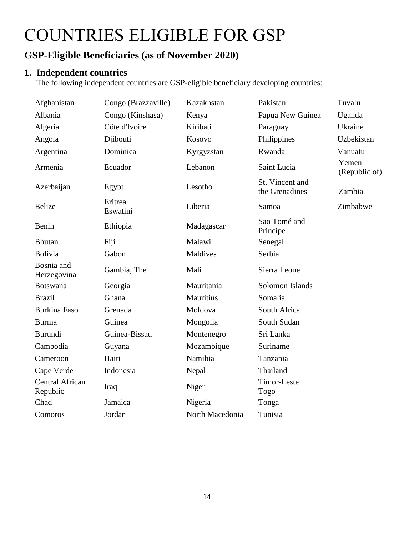### COUNTRIES ELIGIBLE FOR GSP

#### <span id="page-13-0"></span>**GSP-Eligible Beneficiaries (as of November 2020)**

#### **1. Independent countries**

The following independent countries are GSP-eligible beneficiary developing countries:

| Afghanistan                        | Congo (Brazzaville) | Kazakhstan      | Pakistan                          | Tuvalu                 |
|------------------------------------|---------------------|-----------------|-----------------------------------|------------------------|
| Albania                            | Congo (Kinshasa)    | Kenya           | Papua New Guinea                  | Uganda                 |
| Algeria                            | Côte d'Ivoire       | Kiribati        | Paraguay                          | Ukraine                |
| Angola                             | Djibouti            | Kosovo          | Philippines                       | Uzbekistan             |
| Argentina                          | Dominica            | Kyrgyzstan      | Rwanda                            | Vanuatu                |
| Armenia                            | Ecuador             | Lebanon         | Saint Lucia                       | Yemen<br>(Republic of) |
| Azerbaijan                         | Egypt               | Lesotho         | St. Vincent and<br>the Grenadines | Zambia                 |
| <b>Belize</b>                      | Eritrea<br>Eswatini | Liberia         | Samoa                             | Zimbabwe               |
| Benin                              | Ethiopia            | Madagascar      | Sao Tomé and<br>Principe          |                        |
| <b>Bhutan</b>                      | Fiji                | Malawi          | Senegal                           |                        |
| <b>Bolivia</b>                     | Gabon               | Maldives        | Serbia                            |                        |
| Bosnia and<br>Herzegovina          | Gambia, The         | Mali            | Sierra Leone                      |                        |
| <b>Botswana</b>                    | Georgia             | Mauritania      | Solomon Islands                   |                        |
| <b>Brazil</b>                      | Ghana               | Mauritius       | Somalia                           |                        |
| <b>Burkina Faso</b>                | Grenada             | Moldova         | South Africa                      |                        |
| <b>Burma</b>                       | Guinea              | Mongolia        | South Sudan                       |                        |
| <b>Burundi</b>                     | Guinea-Bissau       | Montenegro      | Sri Lanka                         |                        |
| Cambodia                           | Guyana              | Mozambique      | Suriname                          |                        |
| Cameroon                           | Haiti               | Namibia         | Tanzania                          |                        |
| Cape Verde                         | Indonesia           | Nepal           | Thailand                          |                        |
| <b>Central African</b><br>Republic | Iraq                | Niger           | <b>Timor-Leste</b><br>Togo        |                        |
| Chad                               | Jamaica             | Nigeria         | Tonga                             |                        |
| Comoros                            | Jordan              | North Macedonia | Tunisia                           |                        |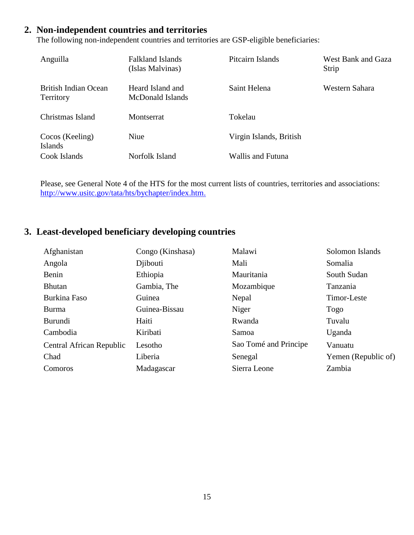#### **2. Non-independent countries and territories**

The following non-independent countries and territories are GSP-eligible beneficiaries:

| Anguilla                          | Falkland Islands<br>(Islas Malvinas) | Pitcairn Islands        | West Bank and Gaza<br>Strip |
|-----------------------------------|--------------------------------------|-------------------------|-----------------------------|
| British Indian Ocean<br>Territory | Heard Island and<br>McDonald Islands | Saint Helena            | Western Sahara              |
| Christmas Island                  | Montserrat                           | Tokelau                 |                             |
| Cocos (Keeling)<br><b>Islands</b> | Niue                                 | Virgin Islands, British |                             |
| Cook Islands                      | Norfolk Island                       | Wallis and Futuna       |                             |

Please, see General Note 4 of the HTS for the most current lists of countries, territories and associations: [http://www.usitc.gov/tata/hts/bychapter/index.htm.](http://www.usitc.gov/tata/hts/bychapter/index.htm)

#### **3. Least-developed beneficiary developing countries**

| Afghanistan                     | Congo (Kinshasa) | Malawi                | Solomon Islands     |
|---------------------------------|------------------|-----------------------|---------------------|
| Angola                          | Djibouti         | Mali                  | Somalia             |
| Benin                           | Ethiopia         | Mauritania            | South Sudan         |
| <b>Bhutan</b>                   | Gambia, The      | Mozambique            | Tanzania            |
| Burkina Faso                    | Guinea           | Nepal                 | <b>Timor-Leste</b>  |
| Burma                           | Guinea-Bissau    | Niger                 | Togo                |
| <b>Burundi</b>                  | Haiti            | Rwanda                | Tuvalu              |
| Cambodia                        | Kiribati         | Samoa                 | Uganda              |
| <b>Central African Republic</b> | Lesotho          | Sao Tomé and Principe | Vanuatu             |
| Chad                            | Liberia          | Senegal               | Yemen (Republic of) |
| Comoros                         | Madagascar       | Sierra Leone          | Zambia              |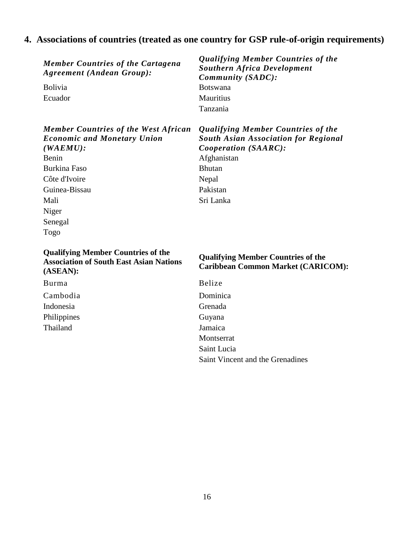#### **4. Associations of countries (treated as one country for GSP rule-of-origin requirements)**

*Member Countries of the Cartagena Agreement (Andean Group):*

| <b>Bolivia</b> |
|----------------|
| Ecuador        |

*Member Countries of the West African Economic and Monetary Union (WAEMU):* Benin Afghanistan Burkina Faso Bhutan Côte d'Ivoire Nepal

Guinea-Bissau Pakistan Mali Sri Lanka Niger Senegal Togo

**Qualifying Member Countries of the Association of South East Asian Nations (ASEAN):**

Burma Belize Cambodia Dominica Indonesia Grenada Philippines Guyana Thailand Jamaica

*Qualifying Member Countries of the Southern Africa Development Community (SADC):* Botswana **Mauritius** Tanzania

*Qualifying Member Countries of the South Asian Association for Regional Cooperation (SAARC):*

#### **Qualifying Member Countries of the Caribbean Common Market (CARICOM):**

Montserrat Saint Lucia Saint Vincent and the Grenadines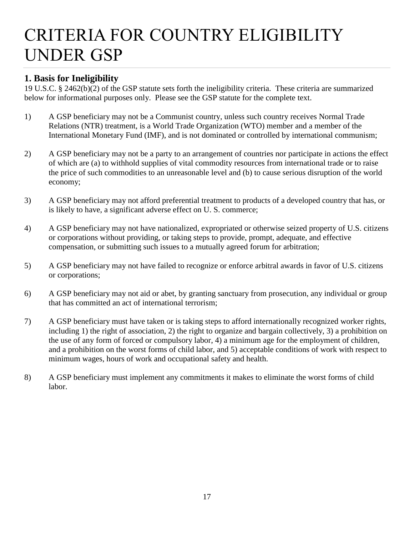### <span id="page-16-0"></span>CRITERIA FOR COUNTRY ELIGIBILITY UNDER GSP

#### **1. Basis for Ineligibility**

19 U.S.C. § 2462(b)(2) of the GSP statute sets forth the ineligibility criteria. These criteria are summarized below for informational purposes only. Please see the GSP statute for the complete text.

- 1) A GSP beneficiary may not be a Communist country, unless such country receives Normal Trade Relations (NTR) treatment, is a World Trade Organization (WTO) member and a member of the International Monetary Fund (IMF), and is not dominated or controlled by international communism;
- 2) A GSP beneficiary may not be a party to an arrangement of countries nor participate in actions the effect of which are (a) to withhold supplies of vital commodity resources from international trade or to raise the price of such commodities to an unreasonable level and (b) to cause serious disruption of the world economy;
- 3) A GSP beneficiary may not afford preferential treatment to products of a developed country that has, or is likely to have, a significant adverse effect on U. S. commerce;
- 4) A GSP beneficiary may not have nationalized, expropriated or otherwise seized property of U.S. citizens or corporations without providing, or taking steps to provide, prompt, adequate, and effective compensation, or submitting such issues to a mutually agreed forum for arbitration;
- 5) A GSP beneficiary may not have failed to recognize or enforce arbitral awards in favor of U.S. citizens or corporations;
- 6) A GSP beneficiary may not aid or abet, by granting sanctuary from prosecution, any individual or group that has committed an act of international terrorism;
- 7) A GSP beneficiary must have taken or is taking steps to afford internationally recognized worker rights, including 1) the right of association, 2) the right to organize and bargain collectively, 3) a prohibition on the use of any form of forced or compulsory labor, 4) a minimum age for the employment of children, and a prohibition on the worst forms of child labor, and 5) acceptable conditions of work with respect to minimum wages, hours of work and occupational safety and health.
- 8) A GSP beneficiary must implement any commitments it makes to eliminate the worst forms of child labor.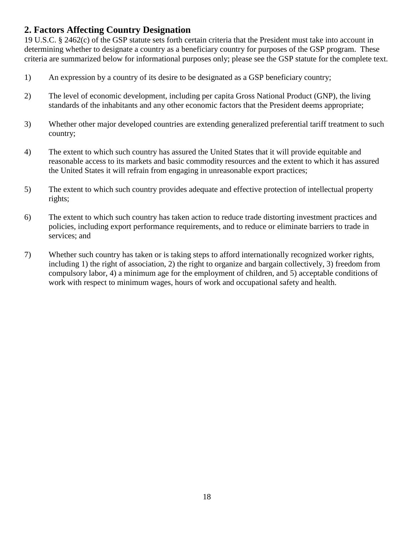#### **2. Factors Affecting Country Designation**

19 U.S.C. § 2462(c) of the GSP statute sets forth certain criteria that the President must take into account in determining whether to designate a country as a beneficiary country for purposes of the GSP program. These criteria are summarized below for informational purposes only; please see the GSP statute for the complete text.

- 1) An expression by a country of its desire to be designated as a GSP beneficiary country;
- 2) The level of economic development, including per capita Gross National Product (GNP), the living standards of the inhabitants and any other economic factors that the President deems appropriate;
- 3) Whether other major developed countries are extending generalized preferential tariff treatment to such country;
- 4) The extent to which such country has assured the United States that it will provide equitable and reasonable access to its markets and basic commodity resources and the extent to which it has assured the United States it will refrain from engaging in unreasonable export practices;
- 5) The extent to which such country provides adequate and effective protection of intellectual property rights;
- 6) The extent to which such country has taken action to reduce trade distorting investment practices and policies, including export performance requirements, and to reduce or eliminate barriers to trade in services; and
- 7) Whether such country has taken or is taking steps to afford internationally recognized worker rights, including 1) the right of association, 2) the right to organize and bargain collectively, 3) freedom from compulsory labor, 4) a minimum age for the employment of children, and 5) acceptable conditions of work with respect to minimum wages, hours of work and occupational safety and health.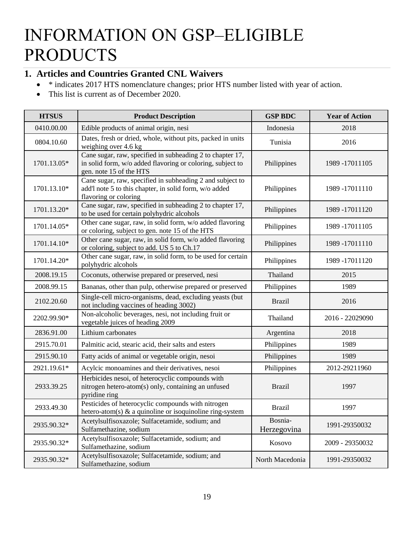### INFORMATION ON GSP–ELIGIBLE PRODUCTS

#### <span id="page-18-0"></span>**1. Articles and Countries Granted CNL Waivers**

- \* indicates 2017 HTS nomenclature changes; prior HTS number listed with year of action.
- This list is current as of December 2020.

| <b>HTSUS</b> | <b>Product Description</b>                                                                                                                         | <b>GSP BDC</b>         | <b>Year of Action</b> |
|--------------|----------------------------------------------------------------------------------------------------------------------------------------------------|------------------------|-----------------------|
| 0410.00.00   | Edible products of animal origin, nesi                                                                                                             | Indonesia              | 2018                  |
| 0804.10.60   | Dates, fresh or dried, whole, without pits, packed in units<br>weighing over 4.6 kg                                                                | Tunisia                | 2016                  |
| 1701.13.05*  | Cane sugar, raw, specified in subheading 2 to chapter 17,<br>in solid form, w/o added flavoring or coloring, subject to<br>gen. note 15 of the HTS | Philippines            | 1989 -17011105        |
| 1701.13.10*  | Cane sugar, raw, specified in subheading 2 and subject to<br>add'l note 5 to this chapter, in solid form, w/o added<br>flavoring or coloring       | Philippines            | 1989-17011110         |
| 1701.13.20*  | Cane sugar, raw, specified in subheading 2 to chapter 17,<br>to be used for certain polyhydric alcohols                                            | Philippines            | 1989 - 17011120       |
| 1701.14.05*  | Other cane sugar, raw, in solid form, w/o added flavoring<br>or coloring, subject to gen. note 15 of the HTS                                       | Philippines            | 1989 -17011105        |
| 1701.14.10*  | Other cane sugar, raw, in solid form, w/o added flavoring<br>or coloring, subject to add. US 5 to Ch.17                                            | Philippines            | 1989-17011110         |
| 1701.14.20*  | Other cane sugar, raw, in solid form, to be used for certain<br>polyhydric alcohols                                                                | Philippines            | 1989-17011120         |
| 2008.19.15   | Coconuts, otherwise prepared or preserved, nesi                                                                                                    | Thailand               | 2015                  |
| 2008.99.15   | Bananas, other than pulp, otherwise prepared or preserved                                                                                          | Philippines            | 1989                  |
| 2102.20.60   | Single-cell micro-organisms, dead, excluding yeasts (but<br>not including vaccines of heading 3002)                                                | <b>Brazil</b>          | 2016                  |
| 2202.99.90*  | Non-alcoholic beverages, nesi, not including fruit or<br>vegetable juices of heading 2009                                                          | Thailand               | 2016 - 22029090       |
| 2836.91.00   | Lithium carbonates                                                                                                                                 | Argentina              | 2018                  |
| 2915.70.01   | Palmitic acid, stearic acid, their salts and esters                                                                                                | Philippines            | 1989                  |
| 2915.90.10   | Fatty acids of animal or vegetable origin, nesoi                                                                                                   | Philippines            | 1989                  |
| 2921.19.61*  | Acylcic monoamines and their derivatives, nesoi                                                                                                    | Philippines            | 2012-29211960         |
| 2933.39.25   | Herbicides nesoi, of heterocyclic compounds with<br>nitrogen hetero-atom(s) only, containing an unfused<br>pyridine ring                           | <b>Brazil</b>          | 1997                  |
| 2933.49.30   | Pesticides of heterocyclic compounds with nitrogen<br>hetero-atom(s) $\&$ a quinoline or isoquinoline ring-system                                  | <b>Brazil</b>          | 1997                  |
| 2935.90.32*  | Acetylsulfisoxazole; Sulfacetamide, sodium; and<br>Sulfamethazine, sodium                                                                          | Bosnia-<br>Herzegovina | 1991-29350032         |
| 2935.90.32*  | Acetylsulfisoxazole; Sulfacetamide, sodium; and<br>Sulfamethazine, sodium                                                                          | Kosovo                 | 2009 - 29350032       |
| 2935.90.32*  | Acetylsulfisoxazole; Sulfacetamide, sodium; and<br>Sulfamethazine, sodium                                                                          | North Macedonia        | 1991-29350032         |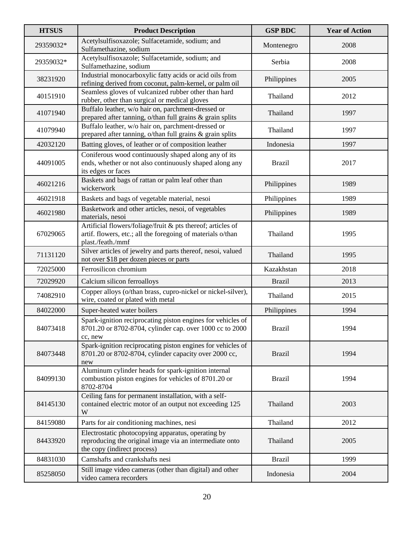| <b>HTSUS</b> | <b>Product Description</b>                                                                                                                      | <b>GSP BDC</b> | <b>Year of Action</b> |
|--------------|-------------------------------------------------------------------------------------------------------------------------------------------------|----------------|-----------------------|
| 29359032*    | Acetylsulfisoxazole; Sulfacetamide, sodium; and<br>Sulfamethazine, sodium                                                                       | Montenegro     | 2008                  |
| 29359032*    | Acetylsulfisoxazole; Sulfacetamide, sodium; and<br>Sulfamethazine, sodium                                                                       | Serbia         | 2008                  |
| 38231920     | Industrial monocarboxylic fatty acids or acid oils from<br>refining derived from coconut, palm-kernel, or palm oil                              | Philippines    | 2005                  |
| 40151910     | Seamless gloves of vulcanized rubber other than hard<br>rubber, other than surgical or medical gloves                                           | Thailand       | 2012                  |
| 41071940     | Buffalo leather, w/o hair on, parchment-dressed or<br>prepared after tanning, o/than full grains & grain splits                                 | Thailand       | 1997                  |
| 41079940     | Buffalo leather, w/o hair on, parchment-dressed or<br>prepared after tanning, o/than full grains & grain splits                                 | Thailand       | 1997                  |
| 42032120     | Batting gloves, of leather or of composition leather                                                                                            | Indonesia      | 1997                  |
| 44091005     | Coniferous wood continuously shaped along any of its<br>ends, whether or not also continuously shaped along any<br>its edges or faces           | <b>Brazil</b>  | 2017                  |
| 46021216     | Baskets and bags of rattan or palm leaf other than<br>wickerwork                                                                                | Philippines    | 1989                  |
| 46021918     | Baskets and bags of vegetable material, nesoi                                                                                                   | Philippines    | 1989                  |
| 46021980     | Basketwork and other articles, nesoi, of vegetables<br>materials, nesoi                                                                         | Philippines    | 1989                  |
| 67029065     | Artificial flowers/foliage/fruit & pts thereof; articles of<br>artif. flowers, etc.; all the foregoing of materials o/than<br>plast./feath./mmf | Thailand       | 1995                  |
| 71131120     | Silver articles of jewelry and parts thereof, nesoi, valued<br>not over \$18 per dozen pieces or parts                                          | Thailand       | 1995                  |
| 72025000     | Ferrosilicon chromium                                                                                                                           | Kazakhstan     | 2018                  |
| 72029920     | Calcium silicon ferroalloys                                                                                                                     | <b>Brazil</b>  | 2013                  |
| 74082910     | Copper alloys (o/than brass, cupro-nickel or nickel-silver),<br>wire, coated or plated with metal                                               | Thailand       | 2015                  |
| 84022000     | Super-heated water boilers                                                                                                                      | Philippines    | 1994                  |
| 84073418     | Spark-ignition reciprocating piston engines for vehicles of<br>8701.20 or 8702-8704, cylinder cap. over 1000 cc to 2000<br>cc, new              | <b>Brazil</b>  | 1994                  |
| 84073448     | Spark-ignition reciprocating piston engines for vehicles of<br>8701.20 or 8702-8704, cylinder capacity over 2000 cc,<br>new                     | <b>Brazil</b>  | 1994                  |
| 84099130     | Aluminum cylinder heads for spark-ignition internal<br>combustion piston engines for vehicles of 8701.20 or<br>8702-8704                        | <b>Brazil</b>  | 1994                  |
| 84145130     | Ceiling fans for permanent installation, with a self-<br>contained electric motor of an output not exceeding 125<br>W                           | Thailand       | 2003                  |
| 84159080     | Parts for air conditioning machines, nesi                                                                                                       | Thailand       | 2012                  |
| 84433920     | Electrostatic photocopying apparatus, operating by<br>reproducing the original image via an intermediate onto<br>the copy (indirect process)    | Thailand       | 2005                  |
| 84831030     | Camshafts and crankshafts nesi                                                                                                                  | <b>Brazil</b>  | 1999                  |
| 85258050     | Still image video cameras (other than digital) and other<br>video camera recorders                                                              | Indonesia      | 2004                  |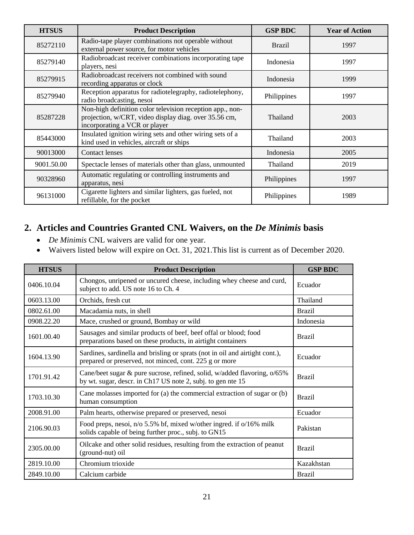| <b>HTSUS</b> | <b>Product Description</b>                                                                                                                          | <b>GSP BDC</b> | <b>Year of Action</b> |
|--------------|-----------------------------------------------------------------------------------------------------------------------------------------------------|----------------|-----------------------|
| 85272110     | Radio-tape player combinations not operable without<br>external power source, for motor vehicles                                                    | <b>Brazil</b>  | 1997                  |
| 85279140     | Radiobroadcast receiver combinations incorporating tape<br>players, nesi                                                                            | Indonesia      | 1997                  |
| 85279915     | Radiobroadcast receivers not combined with sound<br>recording apparatus or clock                                                                    | Indonesia      | 1999                  |
| 85279940     | Reception apparatus for radiotelegraphy, radiotelephony,<br>radio broadcasting, nesoi                                                               | Philippines    | 1997                  |
| 85287228     | Non-high definition color television reception app., non-<br>projection, w/CRT, video display diag. over 35.56 cm,<br>incorporating a VCR or player | Thailand       | 2003                  |
| 85443000     | Insulated ignition wiring sets and other wiring sets of a<br>kind used in vehicles, aircraft or ships                                               | Thailand       | 2003                  |
| 90013000     | <b>Contact lenses</b>                                                                                                                               | Indonesia      | 2005                  |
| 9001.50.00   | Spectacle lenses of materials other than glass, unmounted                                                                                           | Thailand       | 2019                  |
| 90328960     | Automatic regulating or controlling instruments and<br>apparatus, nesi                                                                              | Philippines    | 1997                  |
| 96131000     | Cigarette lighters and similar lighters, gas fueled, not<br>refillable, for the pocket                                                              | Philippines    | 1989                  |

#### **2. Articles and Countries Granted CNL Waivers, on the** *De Minimis* **basis**

- *De Minimis* CNL waivers are valid for one year.
- Waivers listed below will expire on Oct. 31, 2021.This list is current as of December 2020.

| <b>HTSUS</b> | <b>Product Description</b>                                                                                                              | <b>GSP BDC</b> |
|--------------|-----------------------------------------------------------------------------------------------------------------------------------------|----------------|
| 0406.10.04   | Chongos, unripened or uncured cheese, including whey cheese and curd,<br>subject to add. US note 16 to Ch. 4                            | Ecuador        |
| 0603.13.00   | Orchids, fresh cut                                                                                                                      | Thailand       |
| 0802.61.00   | Macadamia nuts, in shell                                                                                                                | <b>Brazil</b>  |
| 0908.22.20   | Mace, crushed or ground, Bombay or wild                                                                                                 | Indonesia      |
| 1601.00.40   | Sausages and similar products of beef, beef offal or blood; food<br>preparations based on these products, in airtight containers        | <b>Brazil</b>  |
| 1604.13.90   | Sardines, sardinella and brisling or sprats (not in oil and airtight cont.),<br>prepared or preserved, not minced, cont. 225 g or more  | Ecuador        |
| 1701.91.42   | Cane/beet sugar & pure sucrose, refined, solid, w/added flavoring, o/65%<br>by wt. sugar, descr. in Ch17 US note 2, subj. to gen nte 15 | <b>Brazil</b>  |
| 1703.10.30   | Cane molasses imported for (a) the commercial extraction of sugar or (b)<br>human consumption                                           | <b>Brazil</b>  |
| 2008.91.00   | Palm hearts, otherwise prepared or preserved, nesoi                                                                                     | Ecuador        |
| 2106.90.03   | Food preps, nesoi, n/o 5.5% bf, mixed w/other ingred. if o/16% milk<br>solids capable of being further proc., subj. to GN15             | Pakistan       |
| 2305.00.00   | Oilcake and other solid residues, resulting from the extraction of peanut<br>(ground-nut) oil                                           | <b>Brazil</b>  |
| 2819.10.00   | Chromium trioxide                                                                                                                       | Kazakhstan     |
| 2849.10.00   | Calcium carbide                                                                                                                         | <b>Brazil</b>  |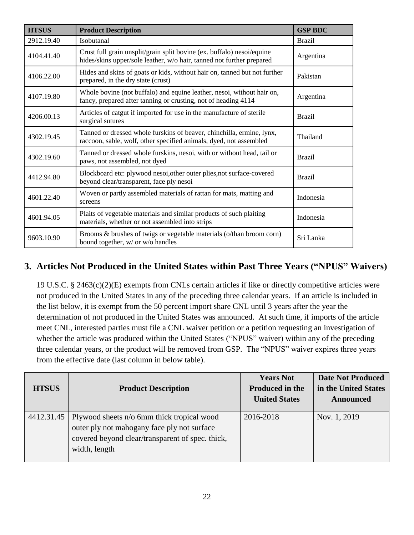| <b>HTSUS</b> | <b>Product Description</b>                                                                                                                      | <b>GSP BDC</b> |
|--------------|-------------------------------------------------------------------------------------------------------------------------------------------------|----------------|
| 2912.19.40   | Isobutanal                                                                                                                                      | <b>Brazil</b>  |
| 4104.41.40   | Crust full grain unsplit/grain split bovine (ex. buffalo) nesoi/equine<br>hides/skins upper/sole leather, w/o hair, tanned not further prepared | Argentina      |
| 4106.22.00   | Hides and skins of goats or kids, without hair on, tanned but not further<br>prepared, in the dry state (crust)                                 | Pakistan       |
| 4107.19.80   | Whole bovine (not buffalo) and equine leather, nesoi, without hair on,<br>fancy, prepared after tanning or crusting, not of heading 4114        | Argentina      |
| 4206.00.13   | Articles of catgut if imported for use in the manufacture of sterile<br>surgical sutures                                                        | <b>Brazil</b>  |
| 4302.19.45   | Tanned or dressed whole furskins of beaver, chinchilla, ermine, lynx,<br>raccoon, sable, wolf, other specified animals, dyed, not assembled     | Thailand       |
| 4302.19.60   | Tanned or dressed whole furskins, nesoi, with or without head, tail or<br>paws, not assembled, not dyed                                         | <b>Brazil</b>  |
| 4412.94.80   | Blockboard etc: plywood nesoi, other outer plies, not surface-covered<br>beyond clear/transparent, face ply nesoi                               | <b>Brazil</b>  |
| 4601.22.40   | Woven or partly assembled materials of rattan for mats, matting and<br>screens                                                                  | Indonesia      |
| 4601.94.05   | Plaits of vegetable materials and similar products of such plaiting<br>materials, whether or not assembled into strips                          | Indonesia      |
| 9603.10.90   | Brooms & brushes of twigs or vegetable materials (o/than broom corn)<br>bound together, w/ or w/o handles                                       | Sri Lanka      |

#### **3. Articles Not Produced in the United States within Past Three Years ("NPUS" Waivers)**

19 U.S.C. § 2463(c)(2)(E) exempts from CNLs certain articles if like or directly competitive articles were not produced in the United States in any of the preceding three calendar years. If an article is included in the list below, it is exempt from the 50 percent import share CNL until 3 years after the year the determination of not produced in the United States was announced. At such time, if imports of the article meet CNL, interested parties must file a CNL waiver petition or a petition requesting an investigation of whether the article was produced within the United States ("NPUS" waiver) within any of the preceding three calendar years, or the product will be removed from GSP. The "NPUS" waiver expires three years from the effective date (last column in below table).

| <b>HTSUS</b> | <b>Product Description</b>                                                                                                                                     | <b>Years Not</b><br><b>Produced in the</b> | <b>Date Not Produced</b><br>in the United States |
|--------------|----------------------------------------------------------------------------------------------------------------------------------------------------------------|--------------------------------------------|--------------------------------------------------|
|              |                                                                                                                                                                | <b>United States</b>                       | <b>Announced</b>                                 |
| 4412.31.45   | Plywood sheets n/o 6mm thick tropical wood<br>outer ply not mahogany face ply not surface<br>covered beyond clear/transparent of spec. thick,<br>width, length | 2016-2018                                  | Nov. 1, 2019                                     |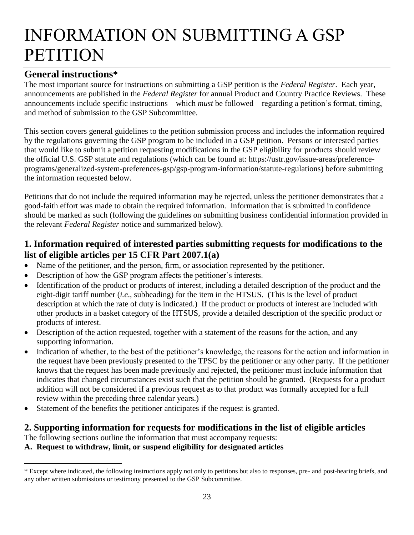### <span id="page-22-0"></span>INFORMATION ON SUBMITTING A GSP **PETITION**

#### **General instructions\***

 $\overline{a}$ 

The most important source for instructions on submitting a GSP petition is the *Federal Register*. Each year, announcements are published in the *Federal Register* for annual Product and Country Practice Reviews. These announcements include specific instructions––which *must* be followed––regarding a petition's format, timing, and method of submission to the GSP Subcommittee.

This section covers general guidelines to the petition submission process and includes the information required by the regulations governing the GSP program to be included in a GSP petition. Persons or interested parties that would like to submit a petition requesting modifications in the GSP eligibility for products should review the official U.S. GSP statute and regulations (which can be found at: https://ustr.gov/issue-areas/preferenceprograms/generalized-system-preferences-gsp/gsp-program-information/statute-regulations) before submitting the information requested below.

Petitions that do not include the required information may be rejected, unless the petitioner demonstrates that a good-faith effort was made to obtain the required information. Information that is submitted in confidence should be marked as such (following the guidelines on submitting business confidential information provided in the relevant *Federal Register* notice and summarized below).

#### **1. Information required of interested parties submitting requests for modifications to the list of eligible articles per 15 CFR Part 2007.1(a)**

- Name of the petitioner, and the person, firm, or association represented by the petitioner.
- Description of how the GSP program affects the petitioner's interests.
- Identification of the product or products of interest, including a detailed description of the product and the eight-digit tariff number (*i.e*., subheading) for the item in the HTSUS. (This is the level of product description at which the rate of duty is indicated.) If the product or products of interest are included with other products in a basket category of the HTSUS, provide a detailed description of the specific product or products of interest.
- Description of the action requested, together with a statement of the reasons for the action, and any supporting information.
- Indication of whether, to the best of the petitioner's knowledge, the reasons for the action and information in the request have been previously presented to the TPSC by the petitioner or any other party. If the petitioner knows that the request has been made previously and rejected, the petitioner must include information that indicates that changed circumstances exist such that the petition should be granted. (Requests for a product addition will not be considered if a previous request as to that product was formally accepted for a full review within the preceding three calendar years.)
- Statement of the benefits the petitioner anticipates if the request is granted.

#### **2. Supporting information for requests for modifications in the list of eligible articles**

The following sections outline the information that must accompany requests:

**A. Request to withdraw, limit, or suspend eligibility for designated articles**

<sup>\*</sup> Except where indicated, the following instructions apply not only to petitions but also to responses, pre- and post-hearing briefs, and any other written submissions or testimony presented to the GSP Subcommittee.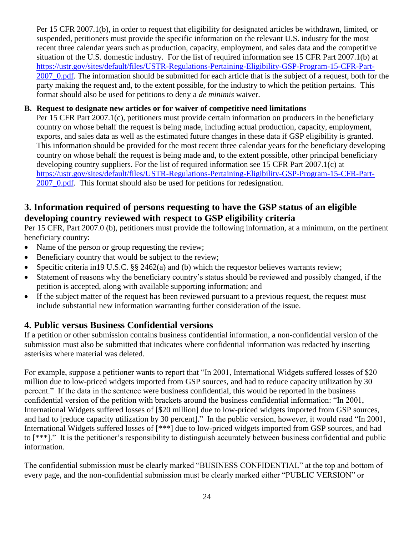Per 15 CFR 2007.1(b), in order to request that eligibility for designated articles be withdrawn, limited, or suspended, petitioners must provide the specific information on the relevant U.S. industry for the most recent three calendar years such as production, capacity, employment, and sales data and the competitive situation of the U.S. domestic industry. For the list of required information see 15 CFR Part 2007.1(b) at [https://ustr.gov/sites/default/files/USTR-Regulations-Pertaining-Eligibility-GSP-Program-15-CFR-Part-](https://ustr.gov/sites/default/files/USTR-Regulations-Pertaining-Eligibility-GSP-Program-15-CFR-Part-2007_0.pdf)2007 0.pdf. The information should be submitted for each article that is the subject of a request, both for the party making the request and, to the extent possible, for the industry to which the petition pertains. This format should also be used for petitions to deny a *de minimis* waiver.

#### **B. Request to designate new articles or for waiver of competitive need limitations**

Per 15 CFR Part 2007.1(c), petitioners must provide certain information on producers in the beneficiary country on whose behalf the request is being made, including actual production, capacity, employment, exports, and sales data as well as the estimated future changes in these data if GSP eligibility is granted. This information should be provided for the most recent three calendar years for the beneficiary developing country on whose behalf the request is being made and, to the extent possible, other principal beneficiary developing country suppliers. For the list of required information see 15 CFR Part 2007.1(c) at [https://ustr.gov/sites/default/files/USTR-Regulations-Pertaining-Eligibility-GSP-Program-15-CFR-Part-](https://ustr.gov/sites/default/files/USTR-Regulations-Pertaining-Eligibility-GSP-Program-15-CFR-Part-2007_0.pdf)2007 0.pdf. This format should also be used for petitions for redesignation.

#### **3. Information required of persons requesting to have the GSP status of an eligible developing country reviewed with respect to GSP eligibility criteria**

Per 15 CFR, Part 2007.0 (b), petitioners must provide the following information, at a minimum, on the pertinent beneficiary country:

- Name of the person or group requesting the review;
- Beneficiary country that would be subject to the review;
- Specific criteria in 19 U.S.C. §§ 2462(a) and (b) which the requestor believes warrants review;
- Statement of reasons why the beneficiary country's status should be reviewed and possibly changed, if the petition is accepted, along with available supporting information; and
- If the subject matter of the request has been reviewed pursuant to a previous request, the request must include substantial new information warranting further consideration of the issue.

#### **4. Public versus Business Confidential versions**

If a petition or other submission contains business confidential information, a non-confidential version of the submission must also be submitted that indicates where confidential information was redacted by inserting asterisks where material was deleted.

For example, suppose a petitioner wants to report that "In 2001, International Widgets suffered losses of \$20 million due to low-priced widgets imported from GSP sources, and had to reduce capacity utilization by 30 percent." If the data in the sentence were business confidential, this would be reported in the business confidential version of the petition with brackets around the business confidential information: "In 2001, International Widgets suffered losses of [\$20 million] due to low-priced widgets imported from GSP sources, and had to [reduce capacity utilization by 30 percent]." In the public version, however, it would read "In 2001, International Widgets suffered losses of [\*\*\*] due to low-priced widgets imported from GSP sources, and had to [\*\*\*]." It is the petitioner's responsibility to distinguish accurately between business confidential and public information.

The confidential submission must be clearly marked "BUSINESS CONFIDENTIAL" at the top and bottom of every page, and the non-confidential submission must be clearly marked either "PUBLIC VERSION" or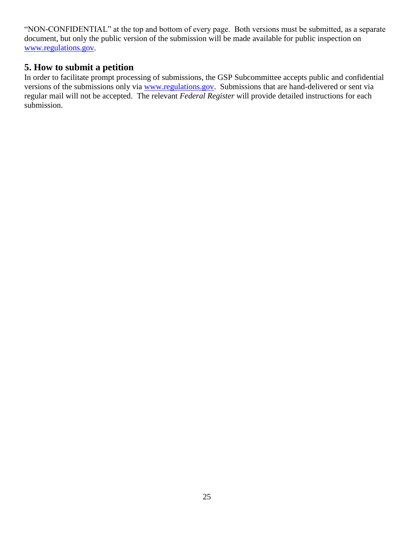"NON-CONFIDENTIAL" at the top and bottom of every page. Both versions must be submitted, as a separate document, but only the public version of the submission will be made available for public inspection on [www.regulations.gov.](http://www.regulations.gov/)

#### **5. How to submit a petition**

In order to facilitate prompt processing of submissions, the GSP Subcommittee accepts public and confidential versions of the submissions only via [www.regulations.gov.](http://www.regulations.gov/) Submissions that are hand-delivered or sent via regular mail will not be accepted. The relevant *Federal Register* will provide detailed instructions for each submission.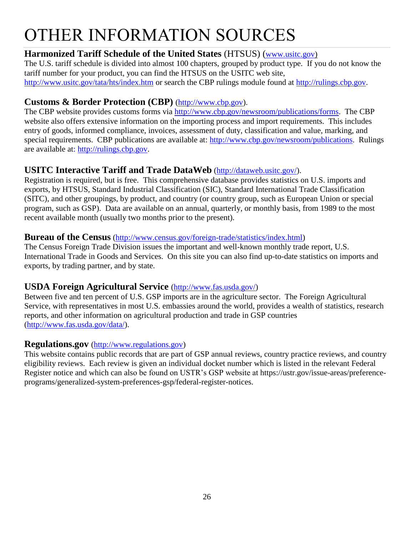### <span id="page-25-0"></span>OTHER INFORMATION SOURCES

#### **Harmonized Tariff Schedule of the United States** (HTSUS) ([www.usitc.gov\)](http://www.usitc.gov/)

The U.S. tariff schedule is divided into almost 100 chapters, grouped by product type. If you do not know the tariff number for your product, you can find the HTSUS on the USITC web site, <http://www.usitc.gov/tata/hts/index.htm> or search the CBP rulings module found at [http://rulings.cbp.gov.](http://rulings.cbp.gov/)

#### **Customs & Border Protection (CBP)** [\(http://www.cbp.gov\)](http://www.cbp.gov/).

The CBP website provides customs forms via [http://www.cbp.gov/newsroom/publications/forms.](http://www.cbp.gov/newsroom/publications/forms) The CBP website also offers extensive information on the importing process and import requirements. This includes entry of goods, informed compliance, invoices, assessment of duty, classification and value, marking, and special requirements. CBP publications are available at: [http://www.cbp.gov/newsroom/publications.](http://www.cbp.gov/newsroom/publications) Rulings are available at: [http://rulings.cbp.gov.](http://rulings.cbp.gov/)

#### **USITC Interactive Tariff and Trade DataWeb** [\(http://dataweb.usitc.gov/\)](http://dataweb.usitc.gov/).

Registration is required, but is free. This comprehensive database provides statistics on U.S. imports and exports, by HTSUS, Standard Industrial Classification (SIC), Standard International Trade Classification (SITC), and other groupings, by product, and country (or country group, such as European Union or special program, such as GSP). Data are available on an annual, quarterly, or monthly basis, from 1989 to the most recent available month (usually two months prior to the present).

#### **Bureau of the Census** [\(http://www.census.gov/foreign-trade/statistics/index.html\)](http://www.census.gov/foreign-trade/statistics/index.html)

The Census Foreign Trade Division issues the important and well-known monthly trade report, U.S. International Trade in Goods and Services. On this site you can also find up-to-date statistics on imports and exports, by trading partner, and by state.

#### **USDA Foreign Agricultural Service** [\(http://www.fas.usda.gov/\)](http://www.fas.usda.gov/)

Between five and ten percent of U.S. GSP imports are in the agriculture sector. The Foreign Agricultural Service, with representatives in most U.S. embassies around the world, provides a wealth of statistics, research reports, and other information on agricultural production and trade in GSP countries [\(http://www.fas.usda.gov/data/\)](http://www.fas.usda.gov/data/).

#### **Regulations.gov** [\(http://www.regulations.gov\)](http://www.regulations.gov/)

This website contains public records that are part of GSP annual reviews, country practice reviews, and country eligibility reviews. Each review is given an individual docket number which is listed in the relevant Federal Register notice and which can also be found on USTR's GSP website at https://ustr.gov/issue-areas/preferenceprograms/generalized-system-preferences-gsp/federal-register-notices.